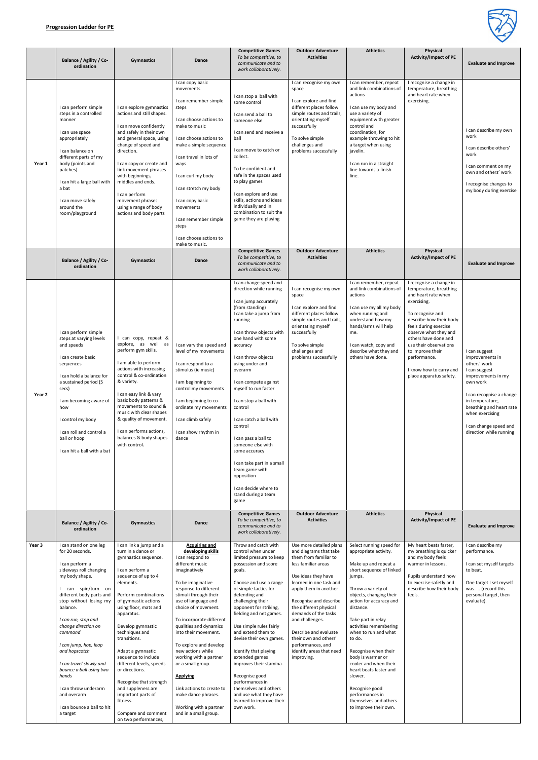

|        | <b>Balance / Agility / Co-</b><br>ordination                                                                                                                                                                                                                                                                                                                                                                                                      | <b>Gymnastics</b>                                                                                                                                                                                                                                                                                                                                                                                                                                                                                      | Dance                                                                                                                                                                                                                                                                                                                                                                                                                                                                                                                        | <b>Competitive Games</b><br>To be competitive, to<br>communicate and to<br>work collaboratively.                                                                                                                                                                                                                                                                                                                                                                                                                                                                      | <b>Outdoor Adventure</b><br><b>Activities</b>                                                                                                                                                                                                                                                                                                                                                | <b>Athletics</b>                                                                                                                                                                                                                                                                                                                                                                                                                                                                             | Physical<br><b>Activity/Impact of PE</b>                                                                                                                                                                                                                                                                                             | <b>Evaluate and Improve</b>                                                                                                                                                                                                                            |
|--------|---------------------------------------------------------------------------------------------------------------------------------------------------------------------------------------------------------------------------------------------------------------------------------------------------------------------------------------------------------------------------------------------------------------------------------------------------|--------------------------------------------------------------------------------------------------------------------------------------------------------------------------------------------------------------------------------------------------------------------------------------------------------------------------------------------------------------------------------------------------------------------------------------------------------------------------------------------------------|------------------------------------------------------------------------------------------------------------------------------------------------------------------------------------------------------------------------------------------------------------------------------------------------------------------------------------------------------------------------------------------------------------------------------------------------------------------------------------------------------------------------------|-----------------------------------------------------------------------------------------------------------------------------------------------------------------------------------------------------------------------------------------------------------------------------------------------------------------------------------------------------------------------------------------------------------------------------------------------------------------------------------------------------------------------------------------------------------------------|----------------------------------------------------------------------------------------------------------------------------------------------------------------------------------------------------------------------------------------------------------------------------------------------------------------------------------------------------------------------------------------------|----------------------------------------------------------------------------------------------------------------------------------------------------------------------------------------------------------------------------------------------------------------------------------------------------------------------------------------------------------------------------------------------------------------------------------------------------------------------------------------------|--------------------------------------------------------------------------------------------------------------------------------------------------------------------------------------------------------------------------------------------------------------------------------------------------------------------------------------|--------------------------------------------------------------------------------------------------------------------------------------------------------------------------------------------------------------------------------------------------------|
| Year 1 | I can perform simple<br>steps in a controlled<br>manner<br>I can use space<br>appropriately<br>I can balance on<br>different parts of my<br>body (points and<br>patches)<br>I can hit a large ball with<br>a bat<br>I can move safely<br>around the<br>room/playground                                                                                                                                                                            | I can explore gymnastics<br>actions and still shapes.<br>I can move confidently<br>and safely in their own<br>and general space, using<br>change of speed and<br>direction.<br>I can copy or create and<br>link movement phrases<br>with beginnings,<br>middles and ends.<br>I can perform<br>movement phrases<br>using a range of body<br>actions and body parts                                                                                                                                      | I can copy basic<br>movements<br>I can remember simple<br>steps<br>I can choose actions to<br>make to music<br>I can choose actions to<br>make a simple sequence<br>I can travel in lots of<br>ways<br>I can curl my body<br>I can stretch my body<br>I can copy basic<br>movements<br>I can remember simple<br>steps<br>I can choose actions to<br>make to music.                                                                                                                                                           | I can stop a ball with<br>some control<br>I can send a ball to<br>someone else<br>I can send and receive a<br>ball<br>I can move to catch or<br>collect.<br>To be confident and<br>safe in the spaces used<br>to play games<br>I can explore and use<br>skills, actions and ideas<br>individually and in<br>combination to suit the<br>game they are playing                                                                                                                                                                                                          | I can recognise my own<br>space<br>I can explore and find<br>different places follow<br>simple routes and trails,<br>orientating myself<br>successfully<br>To solve simple<br>challenges and<br>problems successfully                                                                                                                                                                        | I can remember, repeat<br>and link combinations of<br>actions<br>I can use my body and<br>use a variety of<br>equipment with greater<br>control and<br>coordination, for<br>example throwing to hit<br>a target when using<br>javelin.<br>I can run in a straight<br>line towards a finish<br>line.                                                                                                                                                                                          | I recognise a change in<br>temperature, breathing<br>and heart rate when<br>exercising.                                                                                                                                                                                                                                              | I can describe my own<br>work<br>I can describe others'<br>work<br>I can comment on my<br>own and others' work<br>I recognise changes to<br>my body during exercise                                                                                    |
|        | <b>Balance / Agility / Co-</b><br>ordination                                                                                                                                                                                                                                                                                                                                                                                                      | <b>Gymnastics</b>                                                                                                                                                                                                                                                                                                                                                                                                                                                                                      | Dance                                                                                                                                                                                                                                                                                                                                                                                                                                                                                                                        | <b>Competitive Games</b><br>To be competitive, to<br>communicate and to<br>work collaboratively.                                                                                                                                                                                                                                                                                                                                                                                                                                                                      | <b>Outdoor Adventure</b><br><b>Activities</b>                                                                                                                                                                                                                                                                                                                                                | <b>Athletics</b>                                                                                                                                                                                                                                                                                                                                                                                                                                                                             | Physical<br><b>Activity/Impact of PE</b>                                                                                                                                                                                                                                                                                             | <b>Evaluate and Improve</b>                                                                                                                                                                                                                            |
| Year 2 | I can perform simple<br>steps at varying levels<br>and speeds<br>I can create basic<br>sequences<br>I can hold a balance for<br>a sustained period (5<br>secs)<br>I am becoming aware of<br>how<br>I control my body<br>I can roll and control a<br>ball or hoop<br>I can hit a ball with a bat                                                                                                                                                   | I can copy, repeat &<br>explore, as well as<br>perform gym skills.<br>I am able to perform<br>actions with increasing<br>control & co-ordination<br>& variety.<br>I can easy link & vary<br>basic body patterns &<br>movements to sound &<br>music with clear shapes<br>& quality of movement.<br>I can performs actions,<br>balances & body shapes<br>with control.                                                                                                                                   | I can vary the speed and<br>level of my movements<br>I can respond to a<br>stimulus (ie music)<br>I am beginning to<br>control my movements<br>I am beginning to co-<br>ordinate my movements<br>I can climb safely<br>I can show rhythm in<br>dance                                                                                                                                                                                                                                                                         | I can change speed and<br>direction while running<br>I can jump accurately<br>(from standing)<br>I can take a jump from<br>running<br>I can throw objects with<br>one hand with some<br>accuracy<br>I can throw objects<br>using under and<br>overarm<br>I can compete against<br>myself to run faster<br>I can stop a ball with<br>control<br>I can catch a ball with<br>control<br>I can pass a ball to<br>someone else with<br>some accuracy<br>I can take part in a small<br>team game with<br>opposition<br>I can decide where to<br>stand during a team<br>game | I can recognise my own<br>space<br>I can explore and find<br>different places follow<br>simple routes and trails,<br>orientating myself<br>successfully<br>To solve simple<br>challenges and<br>problems successfully                                                                                                                                                                        | I can remember, repeat<br>and link combinations of<br>actions<br>I can use my all my body<br>when running and<br>understand how my<br>hands/arms will help<br>me.<br>I can watch, copy and<br>describe what they and<br>others have done.                                                                                                                                                                                                                                                    | I recognise a change in<br>temperature, breathing<br>and heart rate when<br>exercising.<br>To recognise and<br>describe how their body<br>feels during exercise<br>observe what they and<br>others have done and<br>use their observations<br>to improve their<br>performance.<br>I know how to carry and<br>place apparatus safety. | I can suggest<br>improvements in<br>others' work<br>I can suggest<br>improvements in my<br>own work<br>I can recognise a change<br>in temperature,<br>breathing and heart rate<br>when exercising<br>I can change speed and<br>direction while running |
|        | <b>Balance / Agility / Co-</b><br>ordination                                                                                                                                                                                                                                                                                                                                                                                                      | <b>Gymnastics</b>                                                                                                                                                                                                                                                                                                                                                                                                                                                                                      | Dance                                                                                                                                                                                                                                                                                                                                                                                                                                                                                                                        | <b>Competitive Games</b><br>To be competitive, to<br>communicate and to<br>work collaboratively.                                                                                                                                                                                                                                                                                                                                                                                                                                                                      | <b>Outdoor Adventure</b><br><b>Activities</b>                                                                                                                                                                                                                                                                                                                                                | <b>Athletics</b>                                                                                                                                                                                                                                                                                                                                                                                                                                                                             | Physical<br><b>Activity/Impact of PE</b>                                                                                                                                                                                                                                                                                             | <b>Evaluate and Improve</b>                                                                                                                                                                                                                            |
| Year 3 | I can stand on one leg<br>for 20 seconds.<br>I can perform a<br>sideways roll changing<br>my body shape.<br>can spin/turn on<br>different body parts and<br>stop without losing my<br>balance.<br>I can run, stop and<br>change direction on<br>command<br>I can jump, hop, leap<br>and hopscotch<br>I can travel slowly and<br>bounce a ball using two<br>hands<br>I can throw underarm<br>and overarm<br>I can bounce a ball to hit<br>a target | I can link a jump and a<br>turn in a dance or<br>gymnastics sequence.<br>I can perform a<br>sequence of up to 4<br>elements.<br>Perform combinations<br>of gymnastic actions<br>using floor, mats and<br>apparatus.<br>Develop gymnastic<br>techniques and<br>transitions.<br>Adapt a gymnastic<br>sequence to include<br>different levels, speeds<br>or directions.<br>Recognise that strength<br>and suppleness are<br>important parts of<br>fitness.<br>Compare and comment<br>on two performances, | <b>Acquiring and</b><br>developing skills<br>I can respond to<br>different music<br>imaginatively<br>To be imaginative<br>response to different<br>stimuli through their<br>use of language and<br>choice of movement.<br>To incorporate different<br>qualities and dynamics<br>into their movement.<br>To explore and develop<br>new actions while<br>working with a partner<br>or a small group.<br><b>Applying</b><br>Link actions to create to<br>make dance phrases.<br>Working with a partner<br>and in a small group. | Throw and catch with<br>control when under<br>limited pressure to keep<br>possession and score<br>goals.<br>Choose and use a range<br>of simple tactics for<br>defending and<br>challenging their<br>opponent for striking,<br>fielding and net games.<br>Use simple rules fairly<br>and extend them to<br>devise their own games.<br>Identify that playing<br>extended games<br>improves their stamina.<br>Recognise good<br>performances in<br>themselves and others<br>and use what they have<br>learned to improve their<br>own work.                             | Use more detailed plans<br>and diagrams that take<br>them from familiar to<br>less familiar areas<br>Use ideas they have<br>learned in one task and<br>apply them in another<br>Recognise and describe<br>the different physical<br>demands of the tasks<br>and challenges.<br>Describe and evaluate<br>their own and others'<br>performances, and<br>identify areas that need<br>improving. | Select running speed for<br>appropriate activity.<br>Make up and repeat a<br>short sequence of linked<br>jumps.<br>Throw a variety of<br>objects, changing their<br>action for accuracy and<br>distance.<br>Take part in relay<br>activities remembering<br>when to run and what<br>to do.<br>Recognise when their<br>body is warmer or<br>cooler and when their<br>heart beats faster and<br>slower.<br>Recognise good<br>performances in<br>themselves and others<br>to improve their own. | My heart beats faster,<br>my breathing is quicker<br>and my body feels<br>warmer in lessons.<br>Pupils understand how<br>to exercise safetly and<br>describe how their body<br>feels.                                                                                                                                                | I can describe my<br>performance.<br>I can set myself targets<br>to beat.<br>One target I set myself<br>was (record this<br>personal target, then<br>evaluate).                                                                                        |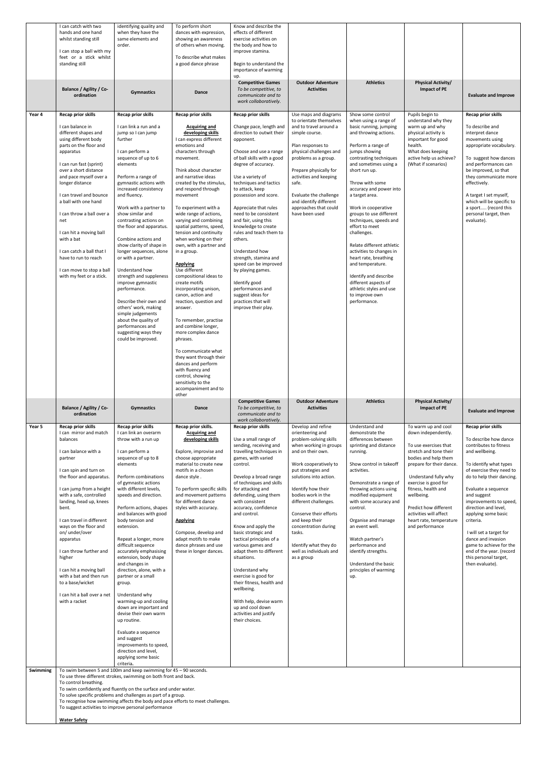|                    | I can catch with two<br>hands and one hand<br>whilst standing still<br>I can stop a ball with my<br>feet or a stick whilst<br>standing still                                                                                                                                                                                                                                                                                                                                                     | identifying quality and<br>when they have the<br>same elements and<br>order.                                                                                                                                                                                                                                                                                                                                                                                                                                                                                                                                                                                                                                                                                                                                                                                                          | To perform short<br>dances with expression,<br>showing an awareness<br>of others when moving.<br>To describe what makes<br>a good dance phrase                                                                                                                                                                                                                                                                                                                                                                                                                                                                                                                                                                                                                                                                                                             | Know and describe the<br>effects of different<br>exercise activities on<br>the body and how to<br>improve stamina.<br>Begin to understand the<br>importance of warming                                                                                                                                                                                                                                                                                                                                                                                                                                                                           |                                                                                                                                                                                                                                                                                                                                                                                                               |                                                                                                                                                                                                                                                                                                                                                                                                                                                                                                                                                                                                           |                                                                                                                                                                                                                                                                                                                                         |                                                                                                                                                                                                                                                                                                                                                                                                                                                            |
|--------------------|--------------------------------------------------------------------------------------------------------------------------------------------------------------------------------------------------------------------------------------------------------------------------------------------------------------------------------------------------------------------------------------------------------------------------------------------------------------------------------------------------|---------------------------------------------------------------------------------------------------------------------------------------------------------------------------------------------------------------------------------------------------------------------------------------------------------------------------------------------------------------------------------------------------------------------------------------------------------------------------------------------------------------------------------------------------------------------------------------------------------------------------------------------------------------------------------------------------------------------------------------------------------------------------------------------------------------------------------------------------------------------------------------|------------------------------------------------------------------------------------------------------------------------------------------------------------------------------------------------------------------------------------------------------------------------------------------------------------------------------------------------------------------------------------------------------------------------------------------------------------------------------------------------------------------------------------------------------------------------------------------------------------------------------------------------------------------------------------------------------------------------------------------------------------------------------------------------------------------------------------------------------------|--------------------------------------------------------------------------------------------------------------------------------------------------------------------------------------------------------------------------------------------------------------------------------------------------------------------------------------------------------------------------------------------------------------------------------------------------------------------------------------------------------------------------------------------------------------------------------------------------------------------------------------------------|---------------------------------------------------------------------------------------------------------------------------------------------------------------------------------------------------------------------------------------------------------------------------------------------------------------------------------------------------------------------------------------------------------------|-----------------------------------------------------------------------------------------------------------------------------------------------------------------------------------------------------------------------------------------------------------------------------------------------------------------------------------------------------------------------------------------------------------------------------------------------------------------------------------------------------------------------------------------------------------------------------------------------------------|-----------------------------------------------------------------------------------------------------------------------------------------------------------------------------------------------------------------------------------------------------------------------------------------------------------------------------------------|------------------------------------------------------------------------------------------------------------------------------------------------------------------------------------------------------------------------------------------------------------------------------------------------------------------------------------------------------------------------------------------------------------------------------------------------------------|
|                    | <b>Balance / Agility / Co-</b><br>ordination                                                                                                                                                                                                                                                                                                                                                                                                                                                     | <b>Gymnastics</b>                                                                                                                                                                                                                                                                                                                                                                                                                                                                                                                                                                                                                                                                                                                                                                                                                                                                     | Dance                                                                                                                                                                                                                                                                                                                                                                                                                                                                                                                                                                                                                                                                                                                                                                                                                                                      | up.<br><b>Competitive Games</b><br>To be competitive, to<br>communicate and to<br>work collaboratively.                                                                                                                                                                                                                                                                                                                                                                                                                                                                                                                                          | <b>Outdoor Adventure</b><br><b>Activities</b>                                                                                                                                                                                                                                                                                                                                                                 | <b>Athletics</b>                                                                                                                                                                                                                                                                                                                                                                                                                                                                                                                                                                                          | <b>Physical Activity/</b><br>Impact of PE                                                                                                                                                                                                                                                                                               | <b>Evaluate and Improve</b>                                                                                                                                                                                                                                                                                                                                                                                                                                |
| Year 4             | Recap prior skills<br>I can balance in<br>different shapes and<br>using different body<br>parts on the floor and<br>apparatus<br>I can run fast (sprint)<br>over a short distance<br>and pace myself over a<br>longer distance<br>I can travel and bounce<br>a ball with one hand<br>I can throw a ball over a<br>net<br>I can hit a moving ball<br>with a bat<br>I can catch a ball that I<br>have to run to reach<br>I can move to stop a ball<br>with my feet or a stick.                     | Recap prior skills<br>I can link a run and a<br>jump so I can jump<br>further<br>I can perform a<br>sequence of up to 6<br>elements<br>Perform a range of<br>gymnastic actions with<br>increased consistency<br>and fluency.<br>Work with a partner to<br>show similar and<br>contrasting actions on<br>the floor and apparatus.<br>Combine actions and<br>show clarity of shape in<br>longer sequences, alone<br>or with a partner.<br>Understand how<br>strength and suppleness<br>improve gymnastic<br>performance.<br>Describe their own and<br>others' work, making<br>simple judgements<br>about the quality of<br>performances and<br>suggesting ways they<br>could be improved.                                                                                                                                                                                               | Recap prior skills<br><b>Acquiring and</b><br>developing skills<br>I can express different<br>emotions and<br>characters through<br>movement.<br>Think about character<br>and narrative ideas<br>created by the stimulus,<br>and respond through<br>movement<br>To experiment with a<br>wide range of actions,<br>varying and combining<br>spatial patterns, speed,<br>tension and continuity<br>when working on their<br>own, with a partner and<br>in a group.<br><b>Applying</b><br>Use different<br>compositional ideas to<br>create motifs<br>incorporating unison,<br>canon, action and<br>reaction, question and<br>answer.<br>To remember, practise<br>and combine longer,<br>more complex dance<br>phrases.<br>To communicate what<br>they want through their<br>dances and perform<br>with fluency and<br>control, showing<br>sensitivity to the | Recap prior skills<br>Change pace, length and<br>direction to outwit their<br>opponent.<br>Choose and use a range<br>of ball skills with a good<br>degree of accuracy.<br>Use a variety of<br>techniques and tactics<br>to attack, keep<br>possession and score.<br>Appreciate that rules<br>need to be consistent<br>and fair, using this<br>knowledge to create<br>rules and teach them to<br>others.<br>Understand how<br>strength, stamina and<br>speed can be improved<br>by playing games.<br>Identify good<br>performances and<br>suggest ideas for<br>practices that will<br>improve their play.                                         | Use maps and diagrams<br>to orientate themselves<br>and to travel around a<br>simple course.<br>Plan responses to<br>physical challenges and<br>problems as a group.<br>Prepare physically for<br>activities and keeping<br>safe.<br>Evaluate the challenge<br>and identify different<br>approaches that could<br>have been used                                                                              | Show some control<br>when using a range of<br>basic running, jumping<br>and throwing actions.<br>Perform a range of<br>jumps showing<br>contrasting techniques<br>and sometimes using a<br>short run up.<br>Throw with some<br>accuracy and power into<br>a target area.<br>Work in cooperative<br>groups to use different<br>techniques, speeds and<br>effort to meet<br>challenges.<br>Relate different athletic<br>activities to changes in<br>heart rate, breathing<br>and temperature.<br>Identify and describe<br>different aspects of<br>athletic styles and use<br>to improve own<br>performance. | Pupils begin to<br>understand why they<br>warm up and why<br>physical activity is<br>important for good<br>health.<br>What does keeping<br>active help us achieve?<br>(What if scenarios)                                                                                                                                               | Recap prior skills<br>To describe and<br>interpret dance<br>movements using<br>appropriate vocabulary.<br>To suggest how dances<br>and performances can<br>be improved, so that<br>they communicate more<br>effectively.<br>A target I set myself,<br>which will be specific to<br>a sport (record this<br>personal target, then<br>evaluate).                                                                                                             |
|                    | <b>Balance / Agility / Co-</b><br>ordination                                                                                                                                                                                                                                                                                                                                                                                                                                                     | <b>Gymnastics</b>                                                                                                                                                                                                                                                                                                                                                                                                                                                                                                                                                                                                                                                                                                                                                                                                                                                                     | accompaniment and to<br>other<br>Dance                                                                                                                                                                                                                                                                                                                                                                                                                                                                                                                                                                                                                                                                                                                                                                                                                     | <b>Competitive Games</b><br>To be competitive, to<br>communicate and to                                                                                                                                                                                                                                                                                                                                                                                                                                                                                                                                                                          | <b>Outdoor Adventure</b><br><b>Activities</b>                                                                                                                                                                                                                                                                                                                                                                 | <b>Athletics</b>                                                                                                                                                                                                                                                                                                                                                                                                                                                                                                                                                                                          | <b>Physical Activity/</b><br>Impact of PE                                                                                                                                                                                                                                                                                               | <b>Evaluate and Improve</b>                                                                                                                                                                                                                                                                                                                                                                                                                                |
| Year 5<br>Swimming | Recap prior skills<br>I can mirror and match<br>balances<br>I can balance with a<br>partner<br>I can spin and turn on<br>the floor and apparatus.<br>I can jump from a height<br>with a safe, controlled<br>landing, head up, knees<br>bent.<br>I can travel in different<br>ways on the floor and<br>on/ under/over<br>apparatus<br>I can throw further and<br>higher<br>I can hit a moving ball<br>with a bat and then run<br>to a base/wicket<br>I can hit a ball over a net<br>with a racket | Recap prior skills<br>I can link an overarm<br>throw with a run up<br>I can perform a<br>sequence of up to 8<br>elements<br>Perform combinations<br>of gymnastic actions<br>with different levels,<br>speeds and direction.<br>Perform actions, shapes<br>and balances with good<br>body tension and<br>extension.<br>Repeat a longer, more<br>difficult sequence<br>accurately emphasising<br>extension, body shape<br>and changes in<br>direction, alone, with a<br>partner or a small<br>group.<br>Understand why<br>warming-up and cooling<br>down are important and<br>devise their own warm<br>up routine.<br>Evaluate a sequence<br>and suggest<br>improvements to speed,<br>direction and level,<br>applying some basic<br>criteria.<br>To swim between 5 and 100m and keep swimming for 45 - 90 seconds.<br>To use three different strokes, swimming on both front and back. | Recap prior skills.<br>Acquiring and<br>developing skills<br>Explore, improvise and<br>choose appropriate<br>material to create new<br>motifs in a chosen<br>dance style.<br>To perform specific skills<br>and movement patterns<br>for different dance<br>styles with accuracy.<br><b>Applying</b><br>Compose, develop and<br>adapt motifs to make<br>dance phrases and use<br>these in longer dances.                                                                                                                                                                                                                                                                                                                                                                                                                                                    | work collaboratively.<br>Recap prior skills<br>Use a small range of<br>sending, receiving and<br>travelling techniques in<br>games, with varied<br>control.<br>Develop a broad range<br>of techniques and skills<br>for attacking and<br>defending, using them<br>with consistent<br>accuracy, confidence<br>and control.<br>Know and apply the<br>basic strategic and<br>tactical principles of a<br>various games and<br>adapt them to different<br>situations.<br>Understand why<br>exercise is good for<br>their fitness, health and<br>wellbeing.<br>With help, devise warm<br>up and cool down<br>activities and justify<br>their choices. | Develop and refine<br>orienteering and<br>problem-solving skills<br>when working in groups<br>and on their own.<br>Work cooperatively to<br>put strategies and<br>solutions into action.<br>Identify how their<br>bodies work in the<br>different challenges.<br>Conserve their efforts<br>and keep their<br>concentration during<br>tasks.<br>Identify what they do<br>well as individuals and<br>as a group | Understand and<br>demonstrate the<br>differences between<br>sprinting and distance<br>running.<br>Show control in takeoff<br>activities.<br>Demonstrate a range of<br>throwing actions using<br>modified equipment<br>with some accuracy and<br>control.<br>Organise and manage<br>an event well.<br>Watch partner's<br>performance and<br>identify strengths.<br>Understand the basic<br>principles of warming<br>up.                                                                                                                                                                                    | To warm up and cool<br>down independently.<br>To use exercises that<br>stretch and tone their<br>bodies and help them<br>prepare for their dance.<br>Understand fully why<br>exercise is good for<br>fitness, health and<br>wellbeing.<br>Predict how different<br>activities will affect<br>heart rate, temperature<br>and performance | Recap prior skills<br>To describe how dance<br>contributes to fitness<br>and wellbeing.<br>To identify what types<br>of exercise they need to<br>do to help their dancing.<br>Evaluate a sequence<br>and suggest<br>improvements to speed,<br>direction and level,<br>applying some basic<br>criteria.<br>I will set a target for<br>dance and invasion<br>game to achieve for the<br>end of the year. (record<br>this personal target,<br>then evaluate). |
|                    | To control breathing.                                                                                                                                                                                                                                                                                                                                                                                                                                                                            | To swim confidently and fluently on the surface and under water.<br>To solve specific problems and challenges as part of a group.                                                                                                                                                                                                                                                                                                                                                                                                                                                                                                                                                                                                                                                                                                                                                     |                                                                                                                                                                                                                                                                                                                                                                                                                                                                                                                                                                                                                                                                                                                                                                                                                                                            |                                                                                                                                                                                                                                                                                                                                                                                                                                                                                                                                                                                                                                                  |                                                                                                                                                                                                                                                                                                                                                                                                               |                                                                                                                                                                                                                                                                                                                                                                                                                                                                                                                                                                                                           |                                                                                                                                                                                                                                                                                                                                         |                                                                                                                                                                                                                                                                                                                                                                                                                                                            |